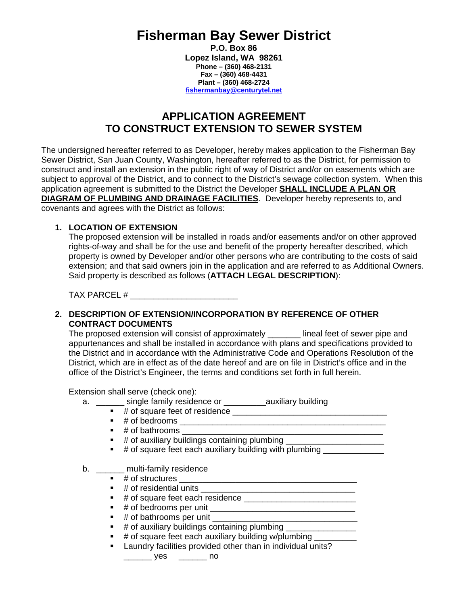# **Fisherman Bay Sewer District**

**P.O. Box 86 Lopez Island, WA 98261 Phone – (360) 468-2131 Fax – (360) 468-4431 Plant – (360) 468-2724 fishermanbay@centurytel.net**

# **APPLICATION AGREEMENT TO CONSTRUCT EXTENSION TO SEWER SYSTEM**

The undersigned hereafter referred to as Developer, hereby makes application to the Fisherman Bay Sewer District, San Juan County, Washington, hereafter referred to as the District, for permission to construct and install an extension in the public right of way of District and/or on easements which are subject to approval of the District, and to connect to the District's sewage collection system. When this application agreement is submitted to the District the Developer **SHALL INCLUDE A PLAN OR DIAGRAM OF PLUMBING AND DRAINAGE FACILITIES**. Developer hereby represents to, and covenants and agrees with the District as follows:

## **1. LOCATION OF EXTENSION**

The proposed extension will be installed in roads and/or easements and/or on other approved rights-of-way and shall be for the use and benefit of the property hereafter described, which property is owned by Developer and/or other persons who are contributing to the costs of said extension; and that said owners join in the application and are referred to as Additional Owners. Said property is described as follows (**ATTACH LEGAL DESCRIPTION**):

TAX PARCEL #  $\overline{a}$ 

#### **2. DESCRIPTION OF EXTENSION/INCORPORATION BY REFERENCE OF OTHER CONTRACT DOCUMENTS**

The proposed extension will consist of approximately \_\_\_\_\_\_\_ lineal feet of sewer pipe and appurtenances and shall be installed in accordance with plans and specifications provided to the District and in accordance with the Administrative Code and Operations Resolution of the District, which are in effect as of the date hereof and are on file in District's office and in the office of the District's Engineer, the terms and conditions set forth in full herein.

Extension shall serve (check one):

- a. \_\_\_\_\_\_ single family residence or \_\_\_\_\_\_\_\_\_\_ auxiliary building
	- # of square feet of residence \_\_\_\_\_\_\_\_\_\_\_\_\_\_\_\_\_\_\_\_\_\_\_\_\_\_\_\_\_\_\_\_\_
	- # of bedrooms \_\_\_\_\_\_\_\_\_\_\_\_\_\_\_\_\_\_\_\_\_\_\_\_\_\_\_\_\_\_\_\_\_\_\_\_\_\_\_\_\_\_\_\_
	- $\blacksquare$  # of bathrooms
	- # of auxiliary buildings containing plumbing \_\_\_\_\_\_\_\_\_\_\_\_\_\_\_\_\_\_\_\_\_\_\_\_\_\_\_\_\_\_\_\_\_
	- $\blacksquare$  # of square feet each auxiliary building with plumbing

b. \_\_\_\_\_\_ multi-family residence

- # of structures \_\_\_\_\_\_\_\_\_\_\_\_\_\_\_\_\_\_\_\_\_\_\_\_\_\_\_\_\_\_\_\_\_\_\_\_\_\_
- # of residential units \_\_\_\_\_\_\_\_\_\_\_\_\_\_\_\_\_\_\_\_\_\_\_\_\_\_\_\_\_\_\_\_\_
- # of square feet each residence \_\_\_\_\_\_\_\_\_\_\_\_\_\_\_\_\_\_\_\_\_\_\_\_
- # of bedrooms per unit \_\_\_\_\_\_\_\_\_\_\_\_\_\_\_\_\_\_\_\_\_\_\_\_\_\_\_\_\_\_\_
- # of bathrooms per unit \_\_\_\_\_\_\_\_\_\_\_\_\_\_\_\_\_\_\_\_\_\_\_\_\_\_\_\_\_\_\_
- $\blacksquare$  # of auxiliary buildings containing plumbing  $\blacksquare$
- **#** of square feet each auxiliary building w/plumbing \_\_\_\_\_\_\_\_\_
- **EXEC** Laundry facilities provided other than in individual units?

\_\_\_\_\_\_ yes \_\_\_\_\_\_ no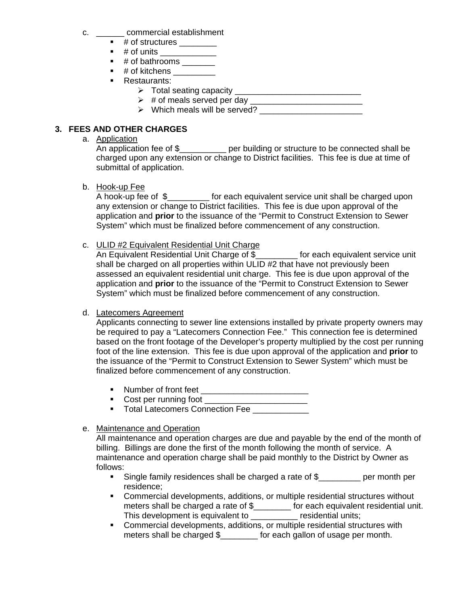- c. \_\_\_\_\_\_ commercial establishment
	- $\blacksquare$  # of structures  $\_\_$
	- $\blacksquare$  # of units
	- $\blacksquare$  # of bathrooms \_\_\_\_\_\_\_
	- $\blacksquare$  # of kitchens \_\_\_\_\_\_\_\_\_\_
	- **Restaurants:** 
		- ¾ Total seating capacity \_\_\_\_\_\_\_\_\_\_\_\_\_\_\_\_\_\_\_\_\_\_\_\_\_\_\_
		- ¾ # of meals served per day \_\_\_\_\_\_\_\_\_\_\_\_\_\_\_\_\_\_\_\_\_\_\_\_
		- ¾ Which meals will be served? \_\_\_\_\_\_\_\_\_\_\_\_\_\_\_\_\_\_\_\_\_\_

# **3. FEES AND OTHER CHARGES**

#### a. Application

An application fee of \$\_\_\_\_\_\_\_\_\_\_ per building or structure to be connected shall be charged upon any extension or change to District facilities. This fee is due at time of submittal of application.

b. Hook-up Fee

A hook-up fee of \$\_\_\_\_\_\_\_\_\_ for each equivalent service unit shall be charged upon any extension or change to District facilities. This fee is due upon approval of the application and **prior** to the issuance of the "Permit to Construct Extension to Sewer System" which must be finalized before commencement of any construction.

c. ULID #2 Equivalent Residential Unit Charge

An Equivalent Residential Unit Charge of \$\_\_\_\_\_\_\_\_\_ for each equivalent service unit shall be charged on all properties within ULID #2 that have not previously been assessed an equivalent residential unit charge. This fee is due upon approval of the application and **prior** to the issuance of the "Permit to Construct Extension to Sewer System" which must be finalized before commencement of any construction.

#### d. Latecomers Agreement

Applicants connecting to sewer line extensions installed by private property owners may be required to pay a "Latecomers Connection Fee." This connection fee is determined based on the front footage of the Developer's property multiplied by the cost per running foot of the line extension. This fee is due upon approval of the application and **prior** to the issuance of the "Permit to Construct Extension to Sewer System" which must be finalized before commencement of any construction.

- Number of front feet \_\_\_\_\_\_\_\_\_\_\_\_\_\_\_\_\_\_\_\_\_\_\_
- Cost per running foot \_\_\_\_\_\_\_\_\_\_\_\_\_\_\_\_\_\_\_\_\_\_
- **Total Latecomers Connection Fee**
- e. Maintenance and Operation

All maintenance and operation charges are due and payable by the end of the month of billing. Billings are done the first of the month following the month of service. A maintenance and operation charge shall be paid monthly to the District by Owner as follows:

- Single family residences shall be charged a rate of \$\_\_\_\_\_\_\_\_\_ per month per residence;
- Commercial developments, additions, or multiple residential structures without meters shall be charged a rate of \$\_\_\_\_\_\_\_\_ for each equivalent residential unit. This development is equivalent to \_\_\_\_\_\_\_\_\_\_ residential units;
- Commercial developments, additions, or multiple residential structures with meters shall be charged \$\_\_\_\_\_\_\_\_ for each gallon of usage per month.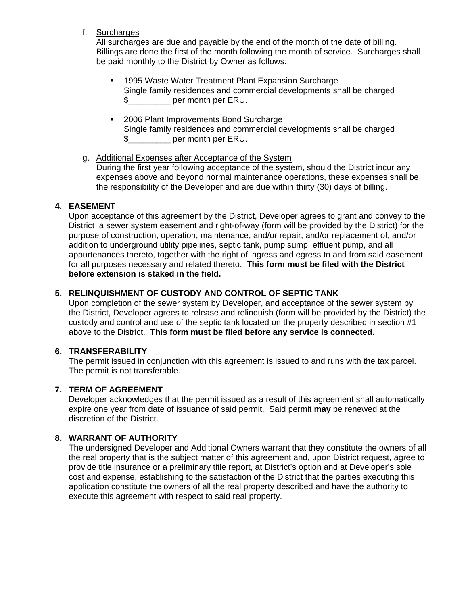f. Surcharges

All surcharges are due and payable by the end of the month of the date of billing. Billings are done the first of the month following the month of service. Surcharges shall be paid monthly to the District by Owner as follows:

- 1995 Waste Water Treatment Plant Expansion Surcharge Single family residences and commercial developments shall be charged \$\_\_\_\_\_\_\_\_\_ per month per ERU.
- 2006 Plant Improvements Bond Surcharge Single family residences and commercial developments shall be charged \$\_\_\_\_\_\_\_\_\_ per month per ERU.

#### g. Additional Expenses after Acceptance of the System

During the first year following acceptance of the system, should the District incur any expenses above and beyond normal maintenance operations, these expenses shall be the responsibility of the Developer and are due within thirty (30) days of billing.

#### **4. EASEMENT**

Upon acceptance of this agreement by the District, Developer agrees to grant and convey to the District a sewer system easement and right-of-way (form will be provided by the District) for the purpose of construction, operation, maintenance, and/or repair, and/or replacement of, and/or addition to underground utility pipelines, septic tank, pump sump, effluent pump, and all appurtenances thereto, together with the right of ingress and egress to and from said easement for all purposes necessary and related thereto. **This form must be filed with the District before extension is staked in the field.** 

#### **5. RELINQUISHMENT OF CUSTODY AND CONTROL OF SEPTIC TANK**

Upon completion of the sewer system by Developer, and acceptance of the sewer system by the District, Developer agrees to release and relinquish (form will be provided by the District) the custody and control and use of the septic tank located on the property described in section #1 above to the District. **This form must be filed before any service is connected.** 

#### **6. TRANSFERABILITY**

The permit issued in conjunction with this agreement is issued to and runs with the tax parcel. The permit is not transferable.

#### **7. TERM OF AGREEMENT**

Developer acknowledges that the permit issued as a result of this agreement shall automatically expire one year from date of issuance of said permit. Said permit **may** be renewed at the discretion of the District.

# **8. WARRANT OF AUTHORITY**

The undersigned Developer and Additional Owners warrant that they constitute the owners of all the real property that is the subject matter of this agreement and, upon District request, agree to provide title insurance or a preliminary title report, at District's option and at Developer's sole cost and expense, establishing to the satisfaction of the District that the parties executing this application constitute the owners of all the real property described and have the authority to execute this agreement with respect to said real property.